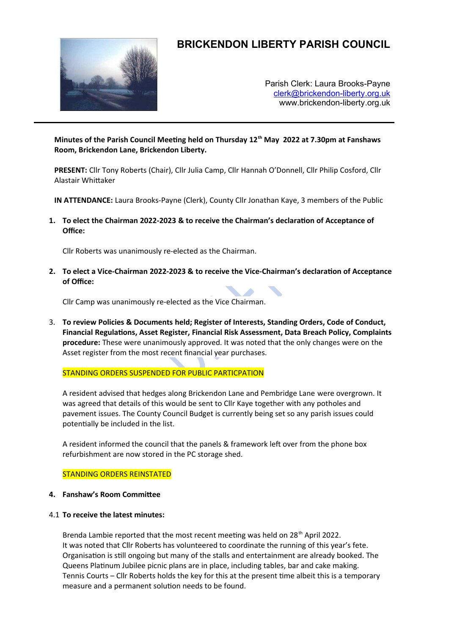

# **BRICKENDON LIBERTY PARISH COUNCIL**

Parish Clerk: Laura Brooks-Payne [clerk@brickendon-liberty.org.uk](mailto:clerk@brickendon-liberty.org.uk) www.brickendon-liberty.org.uk

**Minutes of the Parish Council Meeting held on Thursday 12th May 2022 at 7.30pm at Fanshaws Room, Brickendon Lane, Brickendon Liberty.**

**PRESENT:** Cllr Tony Roberts (Chair), Cllr Julia Camp, Cllr Hannah O'Donnell, Cllr Philip Cosford, Cllr Alastair Whittaker

**IN ATTENDANCE:** Laura Brooks-Payne (Clerk), County Cllr Jonathan Kaye, 3 members of the Public

**1. To elect the Chairman 2022-2023 & to receive the Chairman's declaration of Acceptance of Office:** 

Cllr Roberts was unanimously re-elected as the Chairman.

**2. To elect a Vice-Chairman 2022-2023 & to receive the Vice-Chairman's declaration of Acceptance of Office:** 

Cllr Camp was unanimously re-elected as the Vice Chairman.

3. **To review Policies & Documents held; Register of Interests, Standing Orders, Code of Conduct, Financial Regulations, Asset Register, Financial Risk Assessment, Data Breach Policy, Complaints procedure:** These were unanimously approved. It was noted that the only changes were on the Asset register from the most recent financial year purchases.

STANDING ORDERS SUSPENDED FOR PUBLIC PARTICPATION

A resident advised that hedges along Brickendon Lane and Pembridge Lane were overgrown. It was agreed that details of this would be sent to Cllr Kaye together with any potholes and pavement issues. The County Council Budget is currently being set so any parish issues could potentially be included in the list.

A resident informed the council that the panels & framework left over from the phone box refurbishment are now stored in the PC storage shed.

STANDING ORDERS REINSTATED

- **4. Fanshaw's Room Committee**
- 4.1 **To receive the latest minutes:**

Brenda Lambie reported that the most recent meeting was held on 28<sup>th</sup> April 2022. It was noted that Cllr Roberts has volunteered to coordinate the running of this year's fete. Organisation is still ongoing but many of the stalls and entertainment are already booked. The Queens Platinum Jubilee picnic plans are in place, including tables, bar and cake making. Tennis Courts – Cllr Roberts holds the key for this at the present time albeit this is a temporary measure and a permanent solution needs to be found.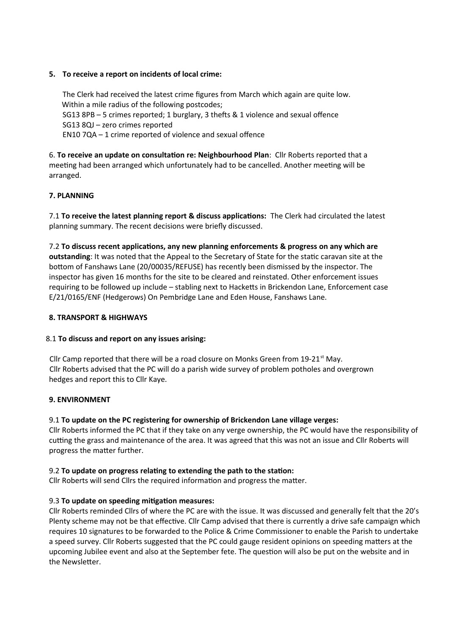## **5. To receive a report on incidents of local crime:**

The Clerk had received the latest crime figures from March which again are quite low. Within a mile radius of the following postcodes; SG13 8PB – 5 crimes reported; 1 burglary, 3 thefts & 1 violence and sexual offence SG13 8QJ – zero crimes reported EN10 7QA – 1 crime reported of violence and sexual offence

6. **To receive an update on consultation re: Neighbourhood Plan**: Cllr Roberts reported that a meeting had been arranged which unfortunately had to be cancelled. Another meeting will be arranged.

# **7. PLANNING**

7.1 **To receive the latest planning report & discuss applications:** The Clerk had circulated the latest planning summary. The recent decisions were briefly discussed.

7.2 **To discuss recent applications, any new planning enforcements & progress on any which are outstanding**: It was noted that the Appeal to the Secretary of State for the static caravan site at the bottom of Fanshaws Lane (20/00035/REFUSE) has recently been dismissed by the inspector. The inspector has given 16 months for the site to be cleared and reinstated. Other enforcement issues requiring to be followed up include – stabling next to Hacketts in Brickendon Lane, Enforcement case E/21/0165/ENF (Hedgerows) On Pembridge Lane and Eden House, Fanshaws Lane.

## **8. TRANSPORT & HIGHWAYS**

#### 8.1 **To discuss and report on any issues arising:**

Cllr Camp reported that there will be a road closure on Monks Green from 19-21<sup>st</sup> May. Cllr Roberts advised that the PC will do a parish wide survey of problem potholes and overgrown hedges and report this to Cllr Kaye.

#### **9. ENVIRONMENT**

# 9.1 **To update on the PC registering for ownership of Brickendon Lane village verges:**

Cllr Roberts informed the PC that if they take on any verge ownership, the PC would have the responsibility of cutting the grass and maintenance of the area. It was agreed that this was not an issue and Cllr Roberts will progress the matter further.

#### 9.2 **To update on progress relating to extending the path to the station:**

Cllr Roberts will send Cllrs the required information and progress the matter.

#### 9.3 **To update on speeding mitigation measures:**

Cllr Roberts reminded Cllrs of where the PC are with the issue. It was discussed and generally felt that the 20's Plenty scheme may not be that effective. Cllr Camp advised that there is currently a drive safe campaign which requires 10 signatures to be forwarded to the Police & Crime Commissioner to enable the Parish to undertake a speed survey. Cllr Roberts suggested that the PC could gauge resident opinions on speeding matters at the upcoming Jubilee event and also at the September fete. The question will also be put on the website and in the Newsletter.